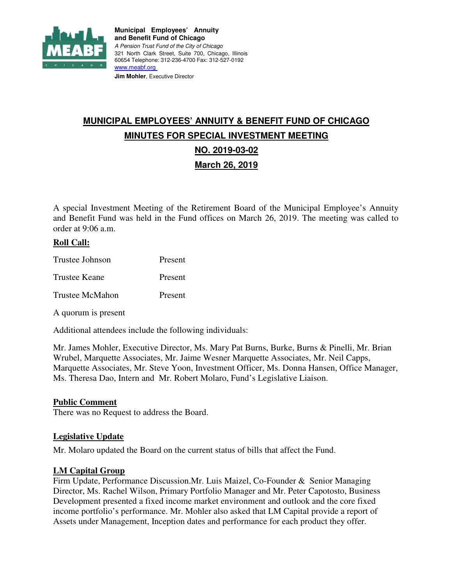

**Municipal Employees' Annuity and Benefit Fund of Chicago**  A Pension Trust Fund of the City of Chicago 321 North Clark Street, Suite 700, Chicago, Illinois 60654 Telephone: 312-236-4700 Fax: 312-527-0192 www.meabf.org **Jim Mohler, Executive Director** 

# **MUNICIPAL EMPLOYEES' ANNUITY & BENEFIT FUND OF CHICAGO MINUTES FOR SPECIAL INVESTMENT MEETING NO. 2019-03-02 March 26, 2019**

A special Investment Meeting of the Retirement Board of the Municipal Employee's Annuity and Benefit Fund was held in the Fund offices on March 26, 2019. The meeting was called to order at 9:06 a.m.

## **Roll Call:**

| Trustee Johnson | Present |
|-----------------|---------|
| Trustee Keane   | Present |
| Trustee McMahon | Present |

A quorum is present

Additional attendees include the following individuals:

Mr. James Mohler, Executive Director, Ms. Mary Pat Burns, Burke, Burns & Pinelli, Mr. Brian Wrubel, Marquette Associates, Mr. Jaime Wesner Marquette Associates, Mr. Neil Capps, Marquette Associates, Mr. Steve Yoon, Investment Officer, Ms. Donna Hansen, Office Manager, Ms. Theresa Dao, Intern and Mr. Robert Molaro, Fund's Legislative Liaison.

#### **Public Comment**

There was no Request to address the Board.

#### **Legislative Update**

Mr. Molaro updated the Board on the current status of bills that affect the Fund.

#### **LM Capital Group**

Firm Update, Performance Discussion.Mr. Luis Maizel, Co-Founder & Senior Managing Director, Ms. Rachel Wilson, Primary Portfolio Manager and Mr. Peter Capotosto, Business Development presented a fixed income market environment and outlook and the core fixed income portfolio's performance. Mr. Mohler also asked that LM Capital provide a report of Assets under Management, Inception dates and performance for each product they offer.